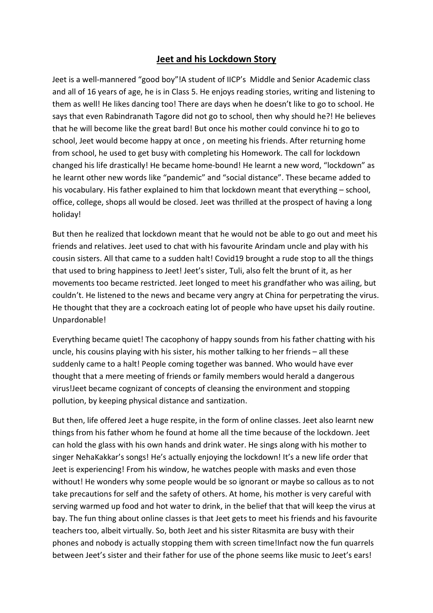## Jeet and his Lockdown Story

Jeet is a well-mannered "good boy"!A student of IICP's Middle and Senior Academic class and all of 16 years of age, he is in Class 5. He enjoys reading stories, writing and listening to them as well! He likes dancing too! There are days when he doesn't like to go to school. He says that even Rabindranath Tagore did not go to school, then why should he?! He believes that he will become like the great bard! But once his mother could convince hi to go to school, Jeet would become happy at once , on meeting his friends. After returning home from school, he used to get busy with completing his Homework. The call for lockdown changed his life drastically! He became home-bound! He learnt a new word, "lockdown" as he learnt other new words like "pandemic" and "social distance". These became added to his vocabulary. His father explained to him that lockdown meant that everything – school, office, college, shops all would be closed. Jeet was thrilled at the prospect of having a long holiday!

But then he realized that lockdown meant that he would not be able to go out and meet his friends and relatives. Jeet used to chat with his favourite Arindam uncle and play with his cousin sisters. All that came to a sudden halt! Covid19 brought a rude stop to all the things that used to bring happiness to Jeet! Jeet's sister, Tuli, also felt the brunt of it, as her movements too became restricted. Jeet longed to meet his grandfather who was ailing, but couldn't. He listened to the news and became very angry at China for perpetrating the virus. He thought that they are a cockroach eating lot of people who have upset his daily routine. Unpardonable!

Everything became quiet! The cacophony of happy sounds from his father chatting with his uncle, his cousins playing with his sister, his mother talking to her friends – all these suddenly came to a halt! People coming together was banned. Who would have ever thought that a mere meeting of friends or family members would herald a dangerous virus!Jeet became cognizant of concepts of cleansing the environment and stopping pollution, by keeping physical distance and santization.

But then, life offered Jeet a huge respite, in the form of online classes. Jeet also learnt new things from his father whom he found at home all the time because of the lockdown. Jeet can hold the glass with his own hands and drink water. He sings along with his mother to singer NehaKakkar's songs! He's actually enjoying the lockdown! It's a new life order that Jeet is experiencing! From his window, he watches people with masks and even those without! He wonders why some people would be so ignorant or maybe so callous as to not take precautions for self and the safety of others. At home, his mother is very careful with serving warmed up food and hot water to drink, in the belief that that will keep the virus at bay. The fun thing about online classes is that Jeet gets to meet his friends and his favourite teachers too, albeit virtually. So, both Jeet and his sister Ritasmita are busy with their phones and nobody is actually stopping them with screen time!Infact now the fun quarrels between Jeet's sister and their father for use of the phone seems like music to Jeet's ears!